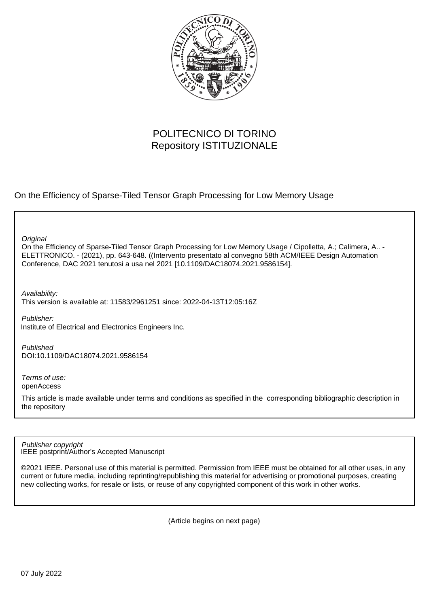

# POLITECNICO DI TORINO Repository ISTITUZIONALE

On the Efficiency of Sparse-Tiled Tensor Graph Processing for Low Memory Usage

**Original** 

On the Efficiency of Sparse-Tiled Tensor Graph Processing for Low Memory Usage / Cipolletta, A.; Calimera, A.. - ELETTRONICO. - (2021), pp. 643-648. ((Intervento presentato al convegno 58th ACM/IEEE Design Automation Conference, DAC 2021 tenutosi a usa nel 2021 [10.1109/DAC18074.2021.9586154].

Availability:

This version is available at: 11583/2961251 since: 2022-04-13T12:05:16Z

Publisher: Institute of Electrical and Electronics Engineers Inc.

Published DOI:10.1109/DAC18074.2021.9586154

Terms of use: openAccess

This article is made available under terms and conditions as specified in the corresponding bibliographic description in the repository

IEEE postprint/Author's Accepted Manuscript Publisher copyright

©2021 IEEE. Personal use of this material is permitted. Permission from IEEE must be obtained for all other uses, in any current or future media, including reprinting/republishing this material for advertising or promotional purposes, creating new collecting works, for resale or lists, or reuse of any copyrighted component of this work in other works.

(Article begins on next page)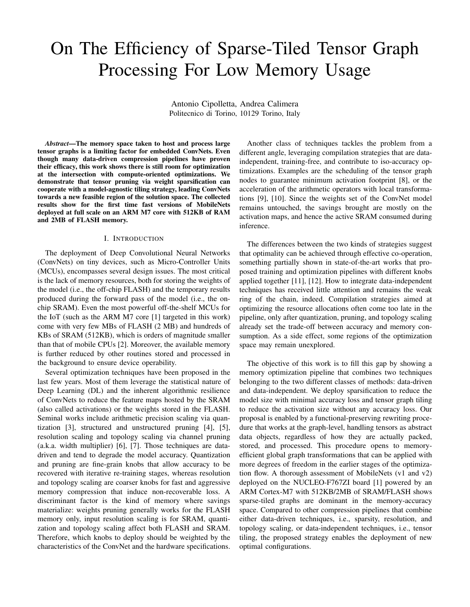# On The Efficiency of Sparse-Tiled Tensor Graph Processing For Low Memory Usage

Antonio Cipolletta, Andrea Calimera Politecnico di Torino, 10129 Torino, Italy

*Abstract*—The memory space taken to host and process large tensor graphs is a limiting factor for embedded ConvNets. Even though many data-driven compression pipelines have proven their efficacy, this work shows there is still room for optimization at the intersection with compute-oriented optimizations. We demonstrate that tensor pruning via weight sparsification can cooperate with a model-agnostic tiling strategy, leading ConvNets towards a new feasible region of the solution space. The collected results show for the first time fast versions of MobileNets deployed at full scale on an ARM M7 core with 512KB of RAM and 2MB of FLASH memory.

#### I. INTRODUCTION

The deployment of Deep Convolutional Neural Networks (ConvNets) on tiny devices, such as Micro-Controller Units (MCUs), encompasses several design issues. The most critical is the lack of memory resources, both for storing the weights of the model (i.e., the off-chip FLASH) and the temporary results produced during the forward pass of the model (i.e., the onchip SRAM). Even the most powerful off-the-shelf MCUs for the IoT (such as the ARM M7 core [1] targeted in this work) come with very few MBs of FLASH (2 MB) and hundreds of KBs of SRAM (512KB), which is orders of magnitude smaller than that of mobile CPUs [2]. Moreover, the available memory is further reduced by other routines stored and processed in the background to ensure device operability.

Several optimization techniques have been proposed in the last few years. Most of them leverage the statistical nature of Deep Learning (DL) and the inherent algorithmic resilience of ConvNets to reduce the feature maps hosted by the SRAM (also called activations) or the weights stored in the FLASH. Seminal works include arithmetic precision scaling via quantization [3], structured and unstructured pruning [4], [5], resolution scaling and topology scaling via channel pruning (a.k.a. width multiplier) [6], [7]. Those techniques are datadriven and tend to degrade the model accuracy. Quantization and pruning are fine-grain knobs that allow accuracy to be recovered with iterative re-training stages, whereas resolution and topology scaling are coarser knobs for fast and aggressive memory compression that induce non-recoverable loss. A discriminant factor is the kind of memory where savings materialize: weights pruning generally works for the FLASH memory only, input resolution scaling is for SRAM, quantization and topology scaling affect both FLASH and SRAM. Therefore, which knobs to deploy should be weighted by the characteristics of the ConvNet and the hardware specifications.

Another class of techniques tackles the problem from a different angle, leveraging compilation strategies that are dataindependent, training-free, and contribute to iso-accuracy optimizations. Examples are the scheduling of the tensor graph nodes to guarantee minimum activation footprint [8], or the acceleration of the arithmetic operators with local transformations [9], [10]. Since the weights set of the ConvNet model remains untouched, the savings brought are mostly on the activation maps, and hence the active SRAM consumed during inference.

The differences between the two kinds of strategies suggest that optimality can be achieved through effective co-operation, something partially shown in state-of-the-art works that proposed training and optimization pipelines with different knobs applied together [11], [12]. How to integrate data-independent techniques has received little attention and remains the weak ring of the chain, indeed. Compilation strategies aimed at optimizing the resource allocations often come too late in the pipeline, only after quantization, pruning, and topology scaling already set the trade-off between accuracy and memory consumption. As a side effect, some regions of the optimization space may remain unexplored.

The objective of this work is to fill this gap by showing a memory optimization pipeline that combines two techniques belonging to the two different classes of methods: data-driven and data-independent. We deploy sparsification to reduce the model size with minimal accuracy loss and tensor graph tiling to reduce the activation size without any accuracy loss. Our proposal is enabled by a functional-preserving rewriting procedure that works at the graph-level, handling tensors as abstract data objects, regardless of how they are actually packed, stored, and processed. This procedure opens to memoryefficient global graph transformations that can be applied with more degrees of freedom in the earlier stages of the optimization flow. A thorough assessment of MobileNets (v1 and v2) deployed on the NUCLEO-F767ZI board [1] powered by an ARM Cortex-M7 with 512KB/2MB of SRAM/FLASH shows sparse-tiled graphs are dominant in the memory-accuracy space. Compared to other compression pipelines that combine either data-driven techniques, i.e., sparsity, resolution, and topology scaling, or data-independent techniques, i.e., tensor tiling, the proposed strategy enables the deployment of new optimal configurations.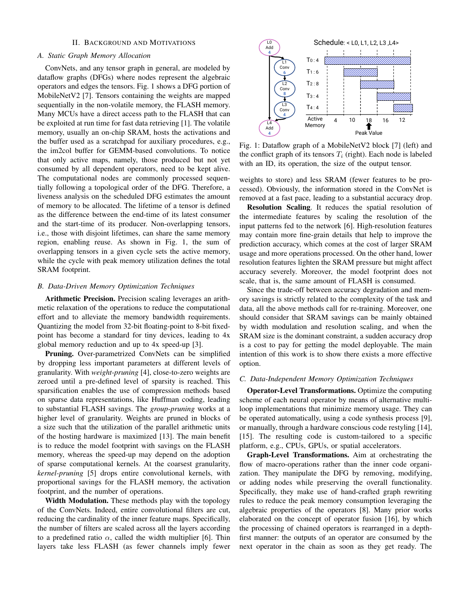# II. BACKGROUND AND MOTIVATIONS

# *A. Static Graph Memory Allocation*

ConvNets, and any tensor graph in general, are modeled by dataflow graphs (DFGs) where nodes represent the algebraic operators and edges the tensors. Fig. 1 shows a DFG portion of MobileNetV2 [7]. Tensors containing the weights are mapped sequentially in the non-volatile memory, the FLASH memory. Many MCUs have a direct access path to the FLASH that can be exploited at run time for fast data retrieving [1]. The volatile memory, usually an on-chip SRAM, hosts the activations and the buffer used as a scratchpad for auxiliary procedures, e.g., the im2col buffer for GEMM-based convolutions. To notice that only active maps, namely, those produced but not yet consumed by all dependent operators, need to be kept alive. The computational nodes are commonly processed sequentially following a topological order of the DFG. Therefore, a liveness analysis on the scheduled DFG estimates the amount of memory to be allocated. The lifetime of a tensor is defined as the difference between the end-time of its latest consumer and the start-time of its producer. Non-overlapping tensors, i.e., those with disjoint lifetimes, can share the same memory region, enabling reuse. As shown in Fig. 1, the sum of overlapping tensors in a given cycle sets the active memory, while the cycle with peak memory utilization defines the total SRAM footprint.

# *B. Data-Driven Memory Optimization Techniques*

Arithmetic Precision. Precision scaling leverages an arithmetic relaxation of the operations to reduce the computational effort and to alleviate the memory bandwidth requirements. Quantizing the model from 32-bit floating-point to 8-bit fixedpoint has become a standard for tiny devices, leading to 4x global memory reduction and up to 4x speed-up [3].

Pruning. Over-parametrized ConvNets can be simplified by dropping less important parameters at different levels of granularity. With *weight-pruning* [4], close-to-zero weights are zeroed until a pre-defined level of sparsity is reached. This sparsification enables the use of compression methods based on sparse data representations, like Huffman coding, leading to substantial FLASH savings. The *group-pruning* works at a higher level of granularity. Weights are pruned in blocks of a size such that the utilization of the parallel arithmetic units of the hosting hardware is maximized [13]. The main benefit is to reduce the model footprint with savings on the FLASH memory, whereas the speed-up may depend on the adoption of sparse computational kernels. At the coarsest granularity, *kernel-pruning* [5] drops entire convolutional kernels, with proportional savings for the FLASH memory, the activation footprint, and the number of operations.

Width Modulation. These methods play with the topology of the ConvNets. Indeed, entire convolutional filters are cut, reducing the cardinality of the inner feature maps. Specifically, the number of filters are scaled across all the layers according to a predefined ratio  $\alpha$ , called the width multiplier [6]. Thin layers take less FLASH (as fewer channels imply fewer



Fig. 1: Dataflow graph of a MobileNetV2 block [7] (left) and the conflict graph of its tensors  $T_i$  (right). Each node is labeled with an ID, its operation, the size of the output tensor.

weights to store) and less SRAM (fewer features to be processed). Obviously, the information stored in the ConvNet is removed at a fast pace, leading to a substantial accuracy drop.

Resolution Scaling. It reduces the spatial resolution of the intermediate features by scaling the resolution of the input patterns fed to the network [6]. High-resolution features may contain more fine-grain details that help to improve the prediction accuracy, which comes at the cost of larger SRAM usage and more operations processed. On the other hand, lower resolution features lighten the SRAM pressure but might affect accuracy severely. Moreover, the model footprint does not scale, that is, the same amount of FLASH is consumed.

Since the trade-off between accuracy degradation and memory savings is strictly related to the complexity of the task and data, all the above methods call for re-training. Moreover, one should consider that SRAM savings can be mainly obtained by width modulation and resolution scaling, and when the SRAM size is the dominant constraint, a sudden accuracy drop is a cost to pay for getting the model deployable. The main intention of this work is to show there exists a more effective option.

#### *C. Data-Independent Memory Optimization Techniques*

Operator-Level Transformations. Optimize the computing scheme of each neural operator by means of alternative multiloop implementations that minimize memory usage. They can be operated automatically, using a code synthesis process [9], or manually, through a hardware conscious code restyling [14], [15]. The resulting code is custom-tailored to a specific platform, e.g., CPUs, GPUs, or spatial accelerators.

Graph-Level Transformations. Aim at orchestrating the flow of macro-operations rather than the inner code organization. They manipulate the DFG by removing, modifying, or adding nodes while preserving the overall functionality. Specifically, they make use of hand-crafted graph rewriting rules to reduce the peak memory consumption leveraging the algebraic properties of the operators [8]. Many prior works elaborated on the concept of operator fusion [16], by which the processing of chained operators is rearranged in a depthfirst manner: the outputs of an operator are consumed by the next operator in the chain as soon as they get ready. The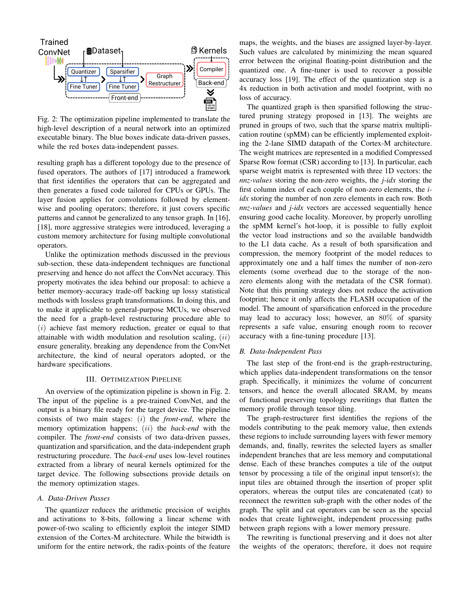

Fig. 2: The optimization pipeline implemented to translate the high-level description of a neural network into an optimized executable binary. The blue boxes indicate data-driven passes, while the red boxes data-independent passes.

resulting graph has a different topology due to the presence of fused operators. The authors of [17] introduced a framework that first identifies the operators that can be aggregated and then generates a fused code tailored for CPUs or GPUs. The layer fusion applies for convolutions followed by elementwise and pooling operators; therefore, it just covers specific patterns and cannot be generalized to any tensor graph. In [16], [18], more aggressive strategies were introduced, leveraging a custom memory architecture for fusing multiple convolutional operators.

Unlike the optimization methods discussed in the previous sub-section, these data-independent techniques are functional preserving and hence do not affect the ConvNet accuracy. This property motivates the idea behind our proposal: to achieve a better memory-accuracy trade-off backing up lossy statistical methods with lossless graph transformations. In doing this, and to make it applicable to general-purpose MCUs, we observed the need for a graph-level restructuring procedure able to  $(i)$  achieve fast memory reduction, greater or equal to that attainable with width modulation and resolution scaling,  $(ii)$ ensure generality, breaking any dependence from the ConvNet architecture, the kind of neural operators adopted, or the hardware specifications.

# III. OPTIMIZATION PIPELINE

An overview of the optimization pipeline is shown in Fig. 2. The input of the pipeline is a pre-trained ConvNet, and the output is a binary file ready for the target device. The pipeline consists of two main stages: (i) the *front-end*, where the memory optimization happens; (ii) the *back-end* with the compiler. The *front-end* consists of two data-driven passes, quantization and sparsification, and the data-independent graph restructuring procedure. The *back-end* uses low-level routines extracted from a library of neural kernels optimized for the target device. The following subsections provide details on the memory optimization stages.

# *A. Data-Driven Passes*

The quantizer reduces the arithmetic precision of weights and activations to 8-bits, following a linear scheme with power-of-two scaling to efficiently exploit the integer SIMD extension of the Cortex-M architecture. While the bitwidth is uniform for the entire network, the radix-points of the feature maps, the weights, and the biases are assigned layer-by-layer. Such values are calculated by minimizing the mean squared error between the original floating-point distribution and the quantized one. A fine-tuner is used to recover a possible accuracy loss [19]. The effect of the quantization step is a 4x reduction in both activation and model footprint, with no loss of accuracy.

The quantized graph is then sparsified following the structured pruning strategy proposed in [13]. The weights are pruned in groups of two, such that the sparse matrix multiplication routine (spMM) can be efficiently implemented exploiting the 2-lane SIMD datapath of the Cortex-M architecture. The weight matrices are represented in a modified Compressed Sparse Row format (CSR) according to [13]. In particular, each sparse weight matrix is represented with three 1D vectors: the *nnz-values* storing the non-zero weights, the *j-idx* storing the first column index of each couple of non-zero elements, the *iidx* storing the number of non zero elements in each row. Both *nnz-values* and *j-idx* vectors are accessed sequentially hence ensuring good cache locality. Moreover, by properly unrolling the spMM kernel's hot-loop, it is possible to fully exploit the vector load instructions and so the available bandwidth to the L1 data cache. As a result of both sparsification and compression, the memory footprint of the model reduces to approximately one and a half times the number of non-zero elements (some overhead due to the storage of the nonzero elements along with the metadata of the CSR format). Note that this pruning strategy does not reduce the activation footprint; hence it only affects the FLASH occupation of the model. The amount of sparsification enforced in the procedure may lead to accuracy loss; however, an 80% of sparsity represents a safe value, ensuring enough room to recover accuracy with a fine-tuning procedure [13].

#### *B. Data-Independent Pass*

The last step of the front-end is the graph-restructuring, which applies data-independent transformations on the tensor graph. Specifically, it minimizes the volume of concurrent tensors, and hence the overall allocated SRAM, by means of functional preserving topology rewritings that flatten the memory profile through tensor tiling.

The graph-restructurer first identifies the regions of the models contributing to the peak memory value, then extends these regions to include surrounding layers with fewer memory demands, and, finally, rewrites the selected layers as smaller independent branches that are less memory and computational dense. Each of these branches computes a tile of the output tensor by processing a tile of the original input tensor(s); the input tiles are obtained through the insertion of proper split operators, whereas the output tiles are concatenated (cat) to reconnect the rewritten sub-graph with the other nodes of the graph. The split and cat operators can be seen as the special nodes that create lightweight, independent processing paths between graph regions with a lower memory pressure.

The rewriting is functional preserving and it does not alter the weights of the operators; therefore, it does not require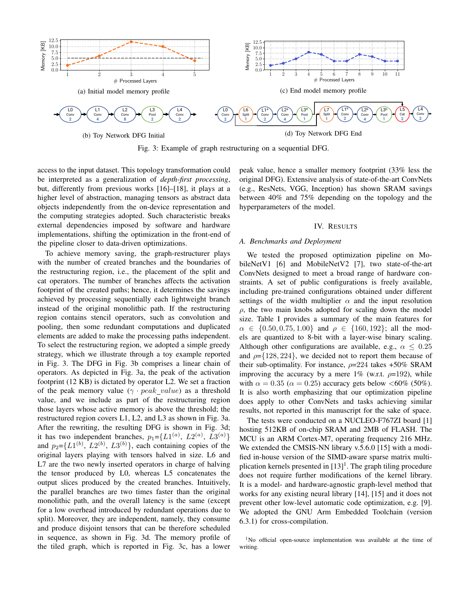

Fig. 3: Example of graph restructuring on a sequential DFG.

access to the input dataset. This topology transformation could be interpreted as a generalization of *depth-first processing*, but, differently from previous works [16]–[18], it plays at a higher level of abstraction, managing tensors as abstract data objects independently from the on-device representation and the computing strategies adopted. Such characteristic breaks external dependencies imposed by software and hardware implementations, shifting the optimization in the front-end of the pipeline closer to data-driven optimizations.

To achieve memory saving, the graph-restructurer plays with the number of created branches and the boundaries of the restructuring region, i.e., the placement of the split and cat operators. The number of branches affects the activation footprint of the created paths; hence, it determines the savings achieved by processing sequentially each lightweight branch instead of the original monolithic path. If the restructuring region contains stencil operators, such as convolution and pooling, then some redundant computations and duplicated elements are added to make the processing paths independent. To select the restructuring region, we adopted a simple greedy strategy, which we illustrate through a toy example reported in Fig. 3. The DFG in Fig. 3b comprises a linear chain of operators. As depicted in Fig. 3a, the peak of the activation footprint (12 KB) is dictated by operator L2. We set a fraction of the peak memory value ( $\gamma \cdot peak\_value$ ) as a threshold value, and we include as part of the restructuring region those layers whose active memory is above the threshold; the restructured region covers L1, L2, and L3 as shown in Fig. 3a. After the rewriting, the resulting DFG is shown in Fig. 3d; it has two independent branches,  $p_1 = \left\{ L1^{(a)}, L2^{(a)}, L3^{(a)} \right\}$ and  $p_2 = \{L1^{(b)}, L2^{(b)}, L3^{(b)}\}$ , each containing copies of the original layers playing with tensors halved in size. L6 and L7 are the two newly inserted operators in charge of halving the tensor produced by L0, whereas L5 concatenates the output slices produced by the created branches. Intuitively, the parallel branches are two times faster than the original monolithic path, and the overall latency is the same (except for a low overhead introduced by redundant operations due to split). Moreover, they are independent, namely, they consume and produce disjoint tensors that can be therefore scheduled in sequence, as shown in Fig. 3d. The memory profile of the tiled graph, which is reported in Fig. 3c, has a lower peak value, hence a smaller memory footprint (33% less the original DFG). Extensive analysis of state-of-the-art ConvNets (e.g., ResNets, VGG, Inception) has shown SRAM savings between 40% and 75% depending on the topology and the hyperparameters of the model.

# IV. RESULTS

# *A. Benchmarks and Deployment*

We tested the proposed optimization pipeline on MobileNetV1 [6] and MobileNetV2 [7], two state-of-the-art ConvNets designed to meet a broad range of hardware constraints. A set of public configurations is freely available, including pre-trained configurations obtained under different settings of the width multiplier  $\alpha$  and the input resolution  $\rho$ , the two main knobs adopted for scaling down the model size. Table I provides a summary of the main features for  $\alpha \in \{0.50, 0.75, 1.00\}$  and  $\rho \in \{160, 192\}$ ; all the models are quantized to 8-bit with a layer-wise binary scaling. Although other configurations are available, e.g.,  $\alpha \leq 0.25$ and  $\rho = \{128, 224\}$ , we decided not to report them because of their sub-optimality. For instance,  $\rho = 224$  takes +50% SRAM improving the accuracy by a mere 1% (w.r.t.  $\rho=192$ ), while with  $\alpha = 0.35$  ( $\alpha = 0.25$ ) accuracy gets below <60% (50%). It is also worth emphasizing that our optimization pipeline does apply to other ConvNets and tasks achieving similar results, not reported in this manuscript for the sake of space.

The tests were conducted on a NUCLEO-F767ZI board [1] hosting 512KB of on-chip SRAM and 2MB of FLASH. The MCU is an ARM Cortex-M7, operating frequency 216 MHz. We extended the CMSIS-NN library v.5.6.0 [15] with a modified in-house version of the SIMD-aware sparse matrix multiplication kernels presented in  $[13]$ <sup>1</sup>. The graph tiling procedure does not require further modifications of the kernel library. It is a model- and hardware-agnostic graph-level method that works for any existing neural library [14], [15] and it does not prevent other low-level automatic code optimization, e.g. [9]. We adopted the GNU Arm Embedded Toolchain (version 6.3.1) for cross-compilation.

<sup>&</sup>lt;sup>1</sup>No official open-source implementation was available at the time of writing.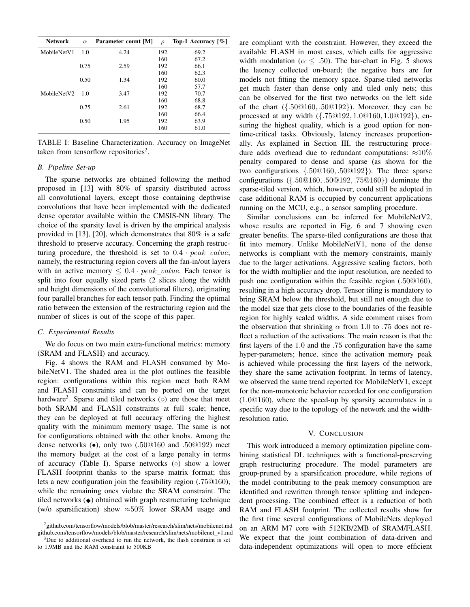| <b>Network</b> | $\alpha$ | Parameter count [M] | $\rho$ | Top-1 Accuracy $\lceil \% \rceil$ |
|----------------|----------|---------------------|--------|-----------------------------------|
| MobileNetV1    | 1.0      | 4.24                | 192    | 69.2                              |
|                |          |                     | 160    | 67.2                              |
|                | 0.75     | 2.59                | 192    | 66.1                              |
|                |          |                     | 160    | 62.3                              |
|                | 0.50     | 1.34                | 192    | 60.0                              |
|                |          |                     | 160    | 57.7                              |
| MobileNetV2    | 1.0      | 3.47                | 192    | 70.7                              |
|                |          |                     | 160    | 68.8                              |
|                | 0.75     | 2.61                | 192    | 68.7                              |
|                |          |                     | 160    | 66.4                              |
|                | 0.50     | 1.95                | 192    | 63.9                              |
|                |          |                     | 160    | 61.0                              |

TABLE I: Baseline Characterization. Accuracy on ImageNet taken from tensorflow repositories<sup>2</sup>.

#### *B. Pipeline Set-up*

The sparse networks are obtained following the method proposed in [13] with 80% of sparsity distributed across all convolutional layers, except those containing depthwise convolutions that have been implemented with the dedicated dense operator available within the CMSIS-NN library. The choice of the sparsity level is driven by the empirical analysis provided in [13], [20], which demonstrates that 80% is a safe threshold to preserve accuracy. Concerning the graph restructuring procedure, the threshold is set to  $0.4 \cdot peak\_value$ ; namely, the restructuring region covers all the fan-in/out layers with an active memory  $\leq 0.4 \cdot peak\_value$ . Each tensor is split into four equally sized parts (2 slices along the width and height dimensions of the convolutional filters), originating four parallel branches for each tensor path. Finding the optimal ratio between the extension of the restructuring region and the number of slices is out of the scope of this paper.

#### *C. Experimental Results*

We do focus on two main extra-functional metrics: memory (SRAM and FLASH) and accuracy.

Fig. 4 shows the RAM and FLASH consumed by MobileNetV1. The shaded area in the plot outlines the feasible region: configurations within this region meet both RAM and FLASH constraints and can be ported on the target hardware<sup>3</sup>. Sparse and tiled networks  $(\diamond)$  are those that meet both SRAM and FLASH constraints at full scale; hence, they can be deployed at full accuracy offering the highest quality with the minimum memory usage. The same is not for configurations obtained with the other knobs. Among the dense networks (•), only two (.50@160 and .50@192) meet the memory budget at the cost of a large penalty in terms of accuracy (Table I). Sparse networks (◦) show a lower FLASH footprint thanks to the sparse matrix format; this lets a new configuration join the feasibility region (.75@160), while the remaining ones violate the SRAM constraint. The tiled networks  $\left( \bullet \right)$  obtained with graph restructuring technique (w/o sparsification) show  $\approx 50\%$  lower SRAM usage and are compliant with the constraint. However, they exceed the available FLASH in most cases, which calls for aggressive width modulation ( $\alpha \leq .50$ ). The bar-chart in Fig. 5 shows the latency collected on-board; the negative bars are for models not fitting the memory space. Sparse-tiled networks get much faster than dense only and tiled only nets; this can be observed for the first two networks on the left side of the chart  $({.50@160, .50@192})$ . Moreover, they can be processed at any width ({.75@192, 1.0@160, 1.0@192}), ensuring the highest quality, which is a good option for nontime-critical tasks. Obviously, latency increases proportionally. As explained in Section III, the restructuring procedure adds overhead due to redundant computations:  $\approx 10\%$ penalty compared to dense and sparse (as shown for the two configurations {.50@160, .50@192}). The three sparse configurations ({.50@160, .50@192, .75@160}) dominate the sparse-tiled version, which, however, could still be adopted in case additional RAM is occupied by concurrent applications running on the MCU, e.g., a sensor sampling procedure.

Similar conclusions can be inferred for MobileNetV2, whose results are reported in Fig. 6 and 7 showing even greater benefits. The sparse-tiled configurations are those that fit into memory. Unlike MobileNetV1, none of the dense networks is compliant with the memory constraints, mainly due to the larger activations. Aggressive scaling factors, both for the width multiplier and the input resolution, are needed to push one configuration within the feasible region (.50@160), resulting in a high accuracy drop. Tensor tiling is mandatory to bring SRAM below the threshold, but still not enough due to the model size that gets close to the boundaries of the feasible region for highly scaled widths. A side comment raises from the observation that shrinking  $\alpha$  from 1.0 to .75 does not reflect a reduction of the activations. The main reason is that the first layers of the 1.0 and the .75 configuration have the same hyper-parameters; hence, since the activation memory peak is achieved while processing the first layers of the network, they share the same activation footprint. In terms of latency, we observed the same trend reported for MobileNetV1, except for the non-monotonic behavior recorded for one configuration (1.0@160), where the speed-up by sparsity accumulates in a specific way due to the topology of the network and the widthresolution ratio.

#### V. CONCLUSION

This work introduced a memory optimization pipeline combining statistical DL techniques with a functional-preserving graph restructuring procedure. The model parameters are group-pruned by a sparsification procedure, while regions of the model contributing to the peak memory consumption are identified and rewritten through tensor splitting and independent processing. The combined effect is a reduction of both RAM and FLASH footprint. The collected results show for the first time several configurations of MobileNets deployed on an ARM M7 core with 512KB/2MB of SRAM/FLASH. We expect that the joint combination of data-driven and data-independent optimizations will open to more efficient

<sup>2</sup>github.com/tensorflow/models/blob/master/research/slim/nets/mobilenet.md github.com/tensorflow/models/blob/master/research/slim/nets/mobilenet v1.md

 $3$ Due to additional overhead to run the network, the flash constraint is set to 1.9MB and the RAM constraint to 500KB